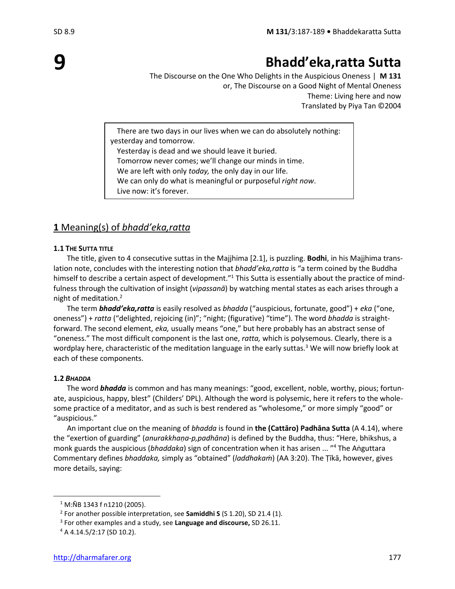# **Bhadd'eka,ratta Sutta**

The Discourse on the One Who Delights in the Auspicious Oneness | **M 131** or, The Discourse on a Good Night of Mental Oneness Theme: Living here and now Translated by Piya Tan ©2004

There are two days in our lives when we can do absolutely nothing: yesterday and tomorrow.

Yesterday is dead and we should leave it buried.

Tomorrow never comes; we'll change our minds in time.

We are left with only *today,* the only day in our life.

We can only do what is meaningful or purposeful *right now*.

Live now: it's forever.

# **1** Meaning(s) of *bhadd'eka,ratta*

### **1.1 THE SUTTA TITLE**

The title, given to 4 consecutive suttas in the Majjhima [2.1], is puzzling. **Bodhi**, in his Majjhima translation note, concludes with the interesting notion that *bhadd'eka,ratta* is "a term coined by the Buddha himself to describe a certain aspect of development."<sup>1</sup> This Sutta is essentially about the practice of mindfulness through the cultivation of insight (*vipassanā*) by watching mental states as each arises through a night of meditation.<sup>2</sup>

The term *bhadd'eka,ratta* is easily resolved as *bhadda* ("auspicious, fortunate, good") + *eka* ("one, oneness") + *ratta* ("delighted, rejoicing (in)"; "night; (figurative) "time"). The word *bhadda* is straightforward. The second element, *eka,* usually means "one," but here probably has an abstract sense of "oneness." The most difficult component is the last one, *ratta,* which is polysemous. Clearly, there is a wordplay here, characteristic of the meditation language in the early suttas.<sup>3</sup> We will now briefly look at each of these components.

### **1.2** *BHADDA*

The word *bhadda* is common and has many meanings: "good, excellent, noble, worthy, pious; fortunate, auspicious, happy, blest" (Childers' DPL). Although the word is polysemic, here it refers to the wholesome practice of a meditator, and as such is best rendered as "wholesome," or more simply "good" or "auspicious."

An important clue on the meaning of *bhadda* is found in **the (Cattāro) Padhāna Sutta** (A 4.14), where the "exertion of guarding" (*anurakkhaṇa-p,padhāna*) is defined by the Buddha, thus: "Here, bhikshus, a monk guards the auspicious (*bhaddaka*) sign of concentration when it has arisen ... " <sup>4</sup> The Aṅguttara Commentary defines *bhaddaka,* simply as "obtained" (*laddhakaṁ*) (AA 3:20). The Ṭīkā, however, gives more details, saying:

 $1$  M:NB 1343 f n1210 (2005).

<sup>2</sup> For another possible interpretation, see **Samiddhi S** (S 1.20), SD 21.4 (1).

<sup>3</sup> For other examples and a study, see **Language and discourse,** SD 26.11.

<sup>4</sup> A 4.14.5/2:17 (SD 10.2).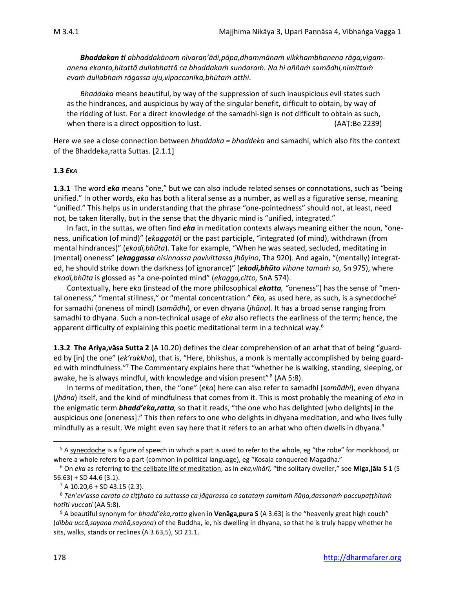*Bhaddakan ti abhaddakānaṁ nīvaraṇ'ādi,pāpa,dhammānaṁ vikkhambhanena rāga,vigamanena ekanta,hitattā dullabhattā ca bhaddakaṁ sundaraṁ. Na hi aññaṁ samādhi,nimittaṁ evaṁ dullabhaṁ rāgassa uju,vipaccanīka,bhūtaṁ atthi*.

*Bhaddaka* means beautiful, by way of the suppression of such inauspicious evil states such as the hindrances, and auspicious by way of the singular benefit, difficult to obtain, by way of the ridding of lust. For a direct knowledge of the samadhi-sign is not difficult to obtain as such, when there is a direct opposition to lust. (AAT:Be 2239)

Here we see a close connection between *bhaddaka = bhaddeka* and samadhi, which also fits the context of the Bhaddeka,ratta Suttas. [2.1.1]

### **1.3** *EKA*

**1.3.1** The word *eka* means "one," but we can also include related senses or connotations, such as "being unified." In other words, *eka* has both a literal sense as a number, as well as a figurative sense, meaning "unified." This helps us in understanding that the phrase "one-pointedness" should not, at least, need not, be taken literally, but in the sense that the dhyanic mind is "unified, integrated."

In fact, in the suttas, we often find *eka* in meditation contexts always meaning either the noun, "oneness, unification (of mind)" (*ekaggatā*) or the past participle, "integrated (of mind), withdrawn (from mental hindrances)" (*ekodi,bhūta*). Take for example, "When he was seated, secluded, meditating in (mental) oneness" (*ekaggassa nisinnassa pavivittassa jhāyino*, Tha 920). And again, "(mentally) integrated, he should strike down the darkness (of ignorance)" (*ekodi,bhūto vihane tamaṁ so,* Sn 975), where *ekodi,bhūta* is glossed as "a one-pointed mind" (*ekagga,citto,* SnA 574).

Contextually, here *eka* (instead of the more philosophical *ekatta, "*oneness") has the sense of "mental oneness," "mental stillness," or "mental concentration." *Eka*, as used here, as such, is a synecdoche<sup>5</sup> for samadhi (oneness of mind) (*samādhi*), or even dhyana (*jhāna*). It has a broad sense ranging from samadhi to dhyana. Such a non-technical usage of *eka* also reflects the earliness of the term; hence, the apparent difficulty of explaining this poetic meditational term in a technical way.<sup>6</sup>

**1.3.2 The Ariya,vāsa Sutta 2** (A 10.20) defines the clear comprehension of an arhat that of being "guarded by [in] the one" (*ek'rakkha*), that is, "Here, bhikshus, a monk is mentally accomplished by being guarded with mindfulness."<sup>7</sup> The Commentary explains here that "whether he is walking, standing, sleeping, or awake, he is always mindful, with knowledge and vision present"<sup>8</sup> (AA 5:8).

In terms of meditation, then, the "one" (*eka*) here can also refer to samadhi (*samādhi*), even dhyana (*jhāna*) itself, and the kind of mindfulness that comes from it. This is most probably the meaning of *eka* in the enigmatic term *bhadd'eka,ratta,* so that it reads, "the one who has delighted [who delights] in the auspicious one [oneness]." This then refers to one who delights in dhyana meditation, and who lives fully mindfully as a result. We might even say here that it refers to an arhat who often dwells in dhyana.<sup>9</sup>

<sup>&</sup>lt;sup>5</sup> A synecdoche is a figure of speech in which a part is used to refer to the whole, eg "the robe" for monkhood, or where a whole refers to a part (common in political language), eg "Kosala conquered Magadha."

<sup>6</sup> On *eka* as referring to the celibate life of meditation, as in *eka,vihārī,* "the solitary dweller," see **Miga,jāla S 1** (S 56.63) + SD 44.6 (3.1).

 $7$  A 10.20,6 + SD 43.15 (2.3).

<sup>8</sup> *Ten'ev'assa carato ca tiṭṭhato ca suttassa ca jāgarassa ca satataṃ samitaṁ ñāṇa,dassanaṁ paccupaṭṭhitaṁ hotîti vuccati* (AA 5:8).

<sup>9</sup> A beautiful synonym for *bhadd'eka,ratta* given in **Venāga,pura S** (A 3.63) is the "heavenly great high couch" (*dibba uccā,sayana mahā,sayana*) of the Buddha, ie, his dwelling in dhyana, so that he is truly happy whether he sits, walks, stands or reclines (A 3.63,5), SD 21.1.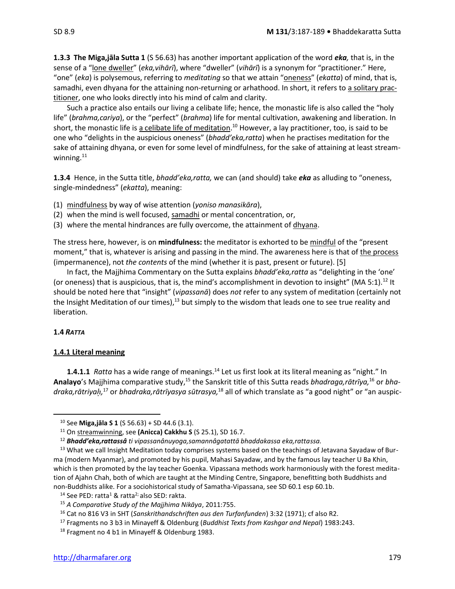**1.3.3 The Miga,jāla Sutta 1** (S 56.63) has another important application of the word *eka,* that is, in the sense of a "lone dweller" (*eka,vihārī*), where "dweller" (*vihārī*) is a synonym for "practitioner." Here, "one" (*eka*) is polysemous, referring to *meditating* so that we attain "oneness" (*ekatta*) of mind, that is, samadhi, even dhyana for the attaining non-returning or arhathood. In short, it refers to a solitary practitioner, one who looks directly into his mind of calm and clarity.

Such a practice also entails our living a celibate life; hence, the monastic life is also called the "holy life" (*brahma,cariya*), or the "perfect" (*brahma*) life for mental cultivation, awakening and liberation. In short, the monastic life is <u>a celibate life of meditation</u>.<sup>10</sup> However, a lay practitioner, too, is said to be one who "delights in the auspicious oneness" (*bhadd'eka,ratta*) when he practises meditation for the sake of attaining dhyana, or even for some level of mindfulness, for the sake of attaining at least streamwinning.<sup>11</sup>

**1.3.4** Hence, in the Sutta title, *bhadd'eka,ratta,* we can (and should) take *eka* as alluding to "oneness, single-mindedness" (*ekatta*), meaning:

(1) mindfulness by way of wise attention (*yoniso manasikāra*),

(2) when the mind is well focused, samadhi or mental concentration, or,

(3) where the mental hindrances are fully overcome, the attainment of dhyana.

The stress here, however, is on **mindfulness:** the meditator is exhorted to be mindful of the "present moment," that is, whatever is arising and passing in the mind. The awareness here is that of the process (impermanence), not *the contents* of the mind (whether it is past, present or future). [5]

In fact, the Majjhima Commentary on the Sutta explains *bhadd'eka,ratta* as "delighting in the 'one' (or oneness) that is auspicious, that is, the mind's accomplishment in devotion to insight" (MA 5:1).<sup>12</sup> It should be noted here that "insight" (*vipassanā*) does *not* refer to any system of meditation (certainly not the Insight Meditation of our times), $13$  but simply to the wisdom that leads one to see true reality and liberation.

#### **1.4** *RATTA*

### **1.4.1 Literal meaning**

**1.4.1.1** *Ratta* has a wide range of meanings.<sup>14</sup> Let us first look at its literal meaning as "night." In **Analayo**'s Majjhima comparative study,<sup>15</sup> the Sanskrit title of this Sutta reads *bhadraga,rātrīya,*<sup>16</sup> or *bhadraka,rātriya,* <sup>17</sup> or *bhadraka,rātrīyasya sūtrasya,*<sup>18</sup> all of which translate as "a good night" or "an auspic-

<sup>10</sup> See **Miga,jāla S 1** (S 56.63) + SD 44.6 (3.1).

<sup>11</sup> On streamwinning, see **(Anicca) Cakkhu S** (S 25.1), SD 16.7.

<sup>12</sup> *Bhadd'eka,rattassâ ti vipassanânuyoga,samannâgatattā bhaddakassa eka,rattassa.*

<sup>&</sup>lt;sup>13</sup> What we call Insight Meditation today comprises systems based on the teachings of Jetavana Sayadaw of Burma (modern Myanmar), and promoted by his pupil, Mahasi Sayadaw, and by the famous lay teacher U Ba Khin, which is then promoted by the lay teacher Goenka. Vipassana methods work harmoniously with the forest meditation of Ajahn Chah, both of which are taught at the Minding Centre, Singapore, benefitting both Buddhists and non-Buddhists alike. For a sociohistorical study of Samatha-Vipassana, see SD 60.1 esp 60.1b.

<sup>&</sup>lt;sup>14</sup> See PED: ratta<sup>1</sup> & ratta<sup>2;</sup> also SED: rakta.

<sup>15</sup> *A Comparative Study of the Majjhima Nikāya*, 2011:755.

<sup>16</sup> Cat no 816 V3 in SHT (*Sanskrithandschriften aus den Turfanfunden*) 3:32 (1971); cf also R2.

<sup>17</sup> Fragments no 3 b3 in Minayeff & Oldenburg (*Buddhist Texts from Kashgar and Nepal*) 1983:243.

<sup>&</sup>lt;sup>18</sup> Fragment no 4 b1 in Minayeff & Oldenburg 1983.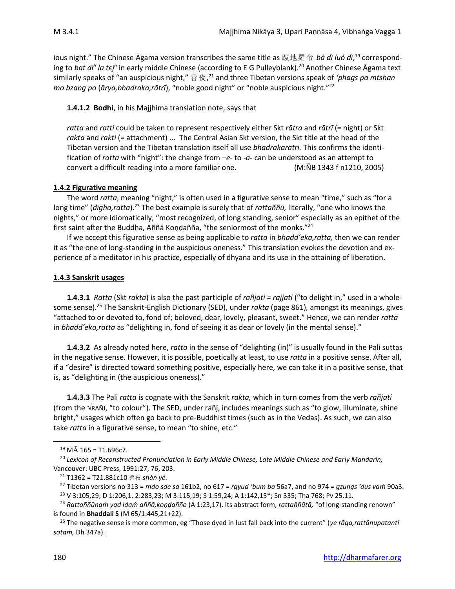ious night." The Chinese Āgama version transcribes the same title as 跋地羅帝 *bá dì luó dì*, <sup>19</sup> corresponding to *bat di<sup>h</sup> la tεj<sup>h</sup>* in early middle Chinese (according to E G Pulleyblank).<sup>20</sup> Another Chinese Āgama text similarly speaks of "an auspicious night," 善夜, <sup>21</sup> and three Tibetan versions speak of *'phags pa mtshan mo bzang po* (*ārya,bhadraka,rātrī*), "noble good night" or "noble auspicious night."<sup>22</sup>

### **1.4.1.2 Bodhi**, in his Majjhima translation note, says that

*ratta* and *ratti* could be taken to represent respectively either Skt *rātra* and *rātrī* (= night) or Skt rakta and rakti (= attachment) ... The Central Asian Skt version, the Skt title at the head of the Tibetan version and the Tibetan translation itself all use *bhadrakarātri.* This confirms the identification of *ratta* with "night": the change from *–e-* to *-a-* can be understood as an attempt to convert a difficult reading into a more familiar one. (M:ÑB 1343 f n1210, 2005)

### **1.4.2 Figurative meaning**

The word *ratta*, meaning "night," is often used in a figurative sense to mean "time," such as "for a long time" (dīgha,ratta).<sup>23</sup> The best example is surely that of rattaññū, literally, "one who knows the nights," or more idiomatically, "most recognized, of long standing, senior" especially as an epithet of the first saint after the Buddha, Aññā Koṇḍañña, "the seniormost of the monks."<sup>24</sup>

If we accept this figurative sense as being applicable to *ratta* in *bhadd'eka,ratta,* then we can render it as "the one of long-standing in the auspicious oneness." This translation evokes the devotion and experience of a meditator in his practice, especially of dhyana and its use in the attaining of liberation.

### **1.4.3 Sanskrit usages**

**1.4.3.1** *Ratta* (Skt *rakta*) is also the past participle of *rañjati = rajjati* ("to delight in," used in a wholesome sense).<sup>25</sup> The Sanskrit-English Dictionary (SED), under *rakta* (page 861)*,* amongst its meanings, gives "attached to or devoted to, fond of; beloved, dear, lovely, pleasant, sweet." Hence, we can render *ratta*  in *bhadd'eka,ratta* as "delighting in, fond of seeing it as dear or lovely (in the mental sense)."

**1.4.3.2** As already noted here, *ratta* in the sense of "delighting (in)" is usually found in the Pali suttas in the negative sense. However, it is possible, poetically at least, to use *ratta* in a positive sense. After all, if a "desire" is directed toward something positive, especially here, we can take it in a positive sense, that is, as "delighting in (the auspicious oneness)."

**1.4.3.3** The Pali *ratta* is cognate with the Sanskrit *rakta,* which in turn comes from the verb *rañjati* (from the  $\sqrt{RAN}$ , "to colour"). The SED, under rañj, includes meanings such as "to glow, illuminate, shine bright," usages which often go back to pre-Buddhist times (such as in the Vedas). As such, we can also take *ratta* in a figurative sense, to mean "to shine, etc."

 $^{19}$  M $\bar{A}$  165 = T1.696c7.

<sup>20</sup> *Lexicon of Reconstructed Pronunciation in Early Middle Chinese, Late Middle Chinese and Early Mandarin,* Vancouver: UBC Press, 1991:27, 76, 203.

<sup>21</sup> T1362 = T21.881c10 善夜 *shàn yè.*

<sup>22</sup> Tibetan versions no 313 = *mdo sde sa* 161b2, no 617 = *rgyud 'bum ba* 56a7, and no 974 = *gzungs 'dus vaṁ* 90a3. <sup>23</sup> V 3:105,29; D 1:206,1, 2:283,23; M 3:115,19; S 1:59,24; A 1:142,15\*; Sn 335; Tha 768; Pv 25.11.

<sup>24</sup> *Rattaññūnaṁ yad idaṁ aññā,koṇḍañño* (A 1:23,17). Its abstract form, *rattaññūtā,* "of long-standing renown" is found in **Bhaddali S** (M 65/1:445,21+22).

<sup>25</sup> The negative sense is more common, eg "Those dyed in lust fall back into the current" (*ye rāga,rattânupatanti sotaṁ,* Dh 347a).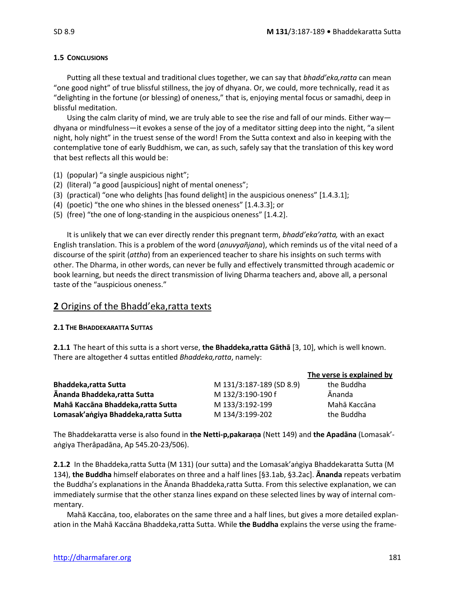### **1.5 CONCLUSIONS**

Putting all these textual and traditional clues together, we can say that *bhadd'eka,ratta* can mean "one good night" of true blissful stillness, the joy of dhyana. Or, we could, more technically, read it as "delighting in the fortune (or blessing) of oneness," that is, enjoying mental focus or samadhi, deep in blissful meditation.

Using the calm clarity of mind, we are truly able to see the rise and fall of our minds. Either way dhyana or mindfulness—it evokes a sense of the joy of a meditator sitting deep into the night, "a silent night, holy night" in the truest sense of the word! From the Sutta context and also in keeping with the contemplative tone of early Buddhism, we can, as such, safely say that the translation of this key word that best reflects all this would be:

- (1) (popular) "a single auspicious night";
- (2) (literal) "a good [auspicious] night of mental oneness";
- (3) (practical) "one who delights [has found delight] in the auspicious oneness" [1.4.3.1];
- (4) (poetic) "the one who shines in the blessed oneness" [1.4.3.3]; or
- (5) (free) "the one of long-standing in the auspicious oneness" [1.4.2].

It is unlikely that we can ever directly render this pregnant term, *bhadd'eka'ratta,* with an exact English translation. This is a problem of the word (*anuvyañjana*), which reminds us of the vital need of a discourse of the spirit (*attha*) from an experienced teacher to share his insights on such terms with other. The Dharma, in other words, can never be fully and effectively transmitted through academic or book learning, but needs the direct transmission of living Dharma teachers and, above all, a personal taste of the "auspicious oneness."

# **2** Origins of the Bhadd'eka,ratta texts

### **2.1 THE BHADDEKARATTA SUTTAS**

**2.1.1** The heart of this sutta is a short verse, **the Bhaddeka,ratta Gāthā** [3, 10], which is well known. There are altogether 4 suttas entitled *Bhaddeka,ratta*, namely:

|                                      |                          | The verse is explained by |
|--------------------------------------|--------------------------|---------------------------|
| <b>Bhaddeka, ratta Sutta</b>         | M 131/3:187-189 (SD 8.9) | the Buddha                |
| Ānanda Bhaddeka, ratta Sutta         | M 132/3:190-190 f        | <b>Ānanda</b>             |
| Mahā Kaccāna Bhaddeka, ratta Sutta   | M 133/3:192-199          | Mahā Kaccāna              |
| Lomasak'angiya Bhaddeka, ratta Sutta | M 134/3:199-202          | the Buddha                |

The Bhaddekaratta verse is also found in **the Netti-p,pakaraṇa** (Nett 149) and **the Apadāna** (Lomasak' aṅgiya Therâpadāna, Ap 545.20-23/506).

**2.1.2** In the Bhaddeka,ratta Sutta (M 131) (our sutta) and the Lomasak'aṅgiya Bhaddekaratta Sutta (M 134), **the Buddha** himself elaborates on three and a half lines [§3.1ab, §3.2ac]. **Ānanda** repeats verbatim the Buddha's explanations in the Ānanda Bhaddeka,ratta Sutta. From this selective explanation, we can immediately surmise that the other stanza lines expand on these selected lines by way of internal commentary.

Mahā Kaccāna, too, elaborates on the same three and a half lines, but gives a more detailed explanation in the Mahā Kaccāna Bhaddeka,ratta Sutta. While **the Buddha** explains the verse using the frame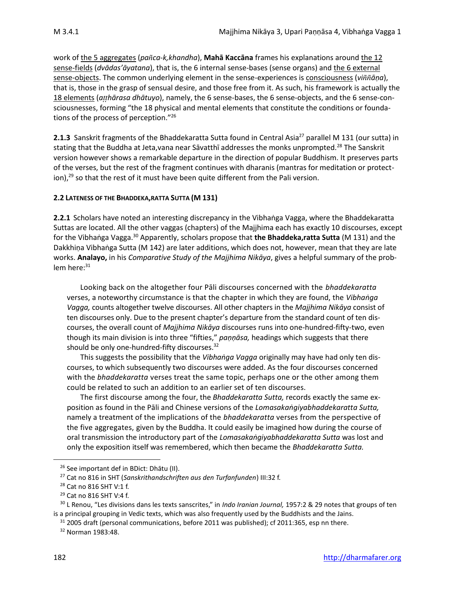work of the 5 aggregates (*paca-k,khandha*), **Mahā Kaccāna** frames his explanations around the 12 sense-fields (*dvādas'āyatana*), that is, the 6 internal sense-bases (sense organs) and the 6 external sense-objects. The common underlying element in the sense-experiences is consciousness (*viāṇa*), that is, those in the grasp of sensual desire, and those free from it. As such, his framework is actually the 18 elements (*ahārasa dhātuyo*), namely, the 6 sense-bases, the 6 sense-objects, and the 6 sense-consciousnesses, forming "the 18 physical and mental elements that constitute the conditions or foundations of the process of perception." 26

2.1.3 Sanskrit fragments of the Bhaddekaratta Sutta found in Central Asia<sup>27</sup> parallel M 131 (our sutta) in stating that the Buddha at Jeta, vana near Sāvatthī addresses the monks unprompted.<sup>28</sup> The Sanskrit version however shows a remarkable departure in the direction of popular Buddhism. It preserves parts of the verses, but the rest of the fragment continues with dharanis (mantras for meditation or protect- $\mu$  ion),<sup>29</sup> so that the rest of it must have been quite different from the Pali version.

### **2.2 LATENESS OF THE BHADDEKA,RATTA SUTTA (M 131)**

**2.2.1** Scholars have noted an interesting discrepancy in the Vibhaṅga Vagga, where the Bhaddekaratta Suttas are located. All the other vaggas (chapters) of the Majjhima each has exactly 10 discourses, except for the Vibhaṅga Vagga.<sup>30</sup> Apparently, scholars propose that **the Bhaddeka,ratta Sutta** (M 131) and the Dakkhiṇa Vibhaṅga Sutta (M 142) are later additions, which does not, however, mean that they are late works. **Analayo,** in his *Comparative Study of the Majjhima Nikāya*, gives a helpful summary of the prob $lem$  here: $31$ 

Looking back on the altogether four Pāli discourses concerned with the *bhaddekaratta*  verses, a noteworthy circumstance is that the chapter in which they are found, the *Vibhaṅga Vagga,* counts altogether twelve discourses. All other chapters in the *Majjhima Nikāya* consist of ten discourses only. Due to the present chapter's departure from the standard count of ten discourses, the overall count of *Majjhima Nikāya* discourses runs into one-hundred-fifty-two, even though its main division is into three "fifties," *paṇṇāsa,* headings which suggests that there should be only one-hundred-fifty discourses.<sup>32</sup>

This suggests the possibility that the *Vibhaṅga Vagga* originally may have had only ten discourses, to which subsequently two discourses were added. As the four discourses concerned with the *bhaddekaratta* verses treat the same topic, perhaps one or the other among them could be related to such an addition to an earlier set of ten discourses.

The first discourse among the four, the *Bhaddekaratta Sutta,* records exactly the same exposition as found in the Pāli and Chinese versions of the *Lomasakaṅgiyabhaddekaratta Sutta,*  namely a treatment of the implications of the *bhaddekaratta* verses from the perspective of the five aggregates, given by the Buddha. It could easily be imagined how during the course of oral transmission the introductory part of the *Lomasakaṅgiyabhaddekaratta Sutta* was lost and only the exposition itself was remembered, which then became the *Bhaddekaratta Sutta.* 

<sup>&</sup>lt;sup>26</sup> See important def in BDict: Dhātu (II).

<sup>27</sup> Cat no 816 in SHT (*Sanskrithandschriften aus den Turfanfunden*) III:32 f.

<sup>28</sup> Cat no 816 SHT V:1 f.

<sup>29</sup> Cat no 816 SHT V:4 f.

<sup>30</sup> L Renou, "Les divisions dans les texts sanscrites," in *Indo Iranian Journal,* 1957:2 & 29 notes that groups of ten is a principal grouping in Vedic texts, which was also frequently used by the Buddhists and the Jains.

 $31$  2005 draft (personal communications, before 2011 was published); cf 2011:365, esp nn there.

<sup>32</sup> Norman 1983:48.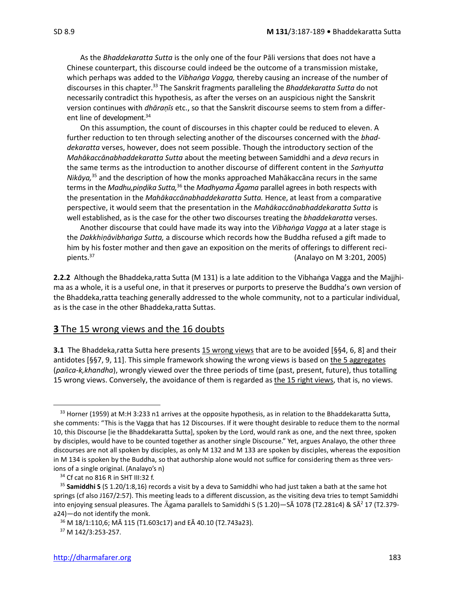As the *Bhaddekaratta Sutta* is the only one of the four Pāli versions that does not have a Chinese counterpart, this discourse could indeed be the outcome of a transmission mistake, which perhaps was added to the *Vibhaṅga Vagga,* thereby causing an increase of the number of discourses in this chapter.<sup>33</sup> The Sanskrit fragments paralleling the *Bhaddekaratta Sutta* do not necessarily contradict this hypothesis, as after the verses on an auspicious night the Sanskrit version continues with *dhāraṇīs* etc., so that the Sanskrit discourse seems to stem from a different line of development.<sup>34</sup>

On this assumption, the count of discourses in this chapter could be reduced to eleven. A further reduction to ten through selecting another of the discourses concerned with the *bhaddekaratta* verses, however, does not seem possible. Though the introductory section of the *Mahākaccānabhaddekaratta Sutta* about the meeting between Samiddhi and a *deva* recurs in the same terms as the introduction to another discourse of different content in the *Saṁyutta Nikāya,*<sup>35</sup> and the description of how the monks approached Mahākaccāna recurs in the same terms in the *Madhu,piṇḍika Sutta,*<sup>36</sup> the *Madhyama Āgama* parallel agrees in both respects with the presentation in the *Mahākaccānabhaddekaratta Sutta.* Hence, at least from a comparative perspective, it would seem that the presentation in the *Mahākaccānabhaddekaratta Sutta* is well established, as is the case for the other two discourses treating the *bhaddekaratta* verses.

Another discourse that could have made its way into the *Vibhaṅga Vagga* at a later stage is the *Dakkhiṇāvibhaṅga Sutta,* a discourse which records how the Buddha refused a gift made to him by his foster mother and then gave an exposition on the merits of offerings to different recipients.<sup>37</sup>  $\sqrt{2}$  (Analayo on M 3:201, 2005)

**2.2.2** Although the Bhaddeka,ratta Sutta (M 131) is a late addition to the Vibhaṅga Vagga and the Majjhima as a whole, it is a useful one, in that it preserves or purports to preserve the Buddha's own version of the Bhaddeka,ratta teaching generally addressed to the whole community, not to a particular individual, as is the case in the other Bhaddeka,ratta Suttas.

### **3** The 15 wrong views and the 16 doubts

**3.1** The Bhaddeka,ratta Sutta here presents 15 wrong views that are to be avoided [§§4, 6, 8] and their antidotes [§§7, 9, 11]. This simple framework showing the wrong views is based on the 5 aggregates (*paca-k,khandha*), wrongly viewed over the three periods of time (past, present, future), thus totalling 15 wrong views. Conversely, the avoidance of them is regarded as the 15 right views, that is, no views.

 $33$  Horner (1959) at M:H 3:233 n1 arrives at the opposite hypothesis, as in relation to the Bhaddekaratta Sutta, she comments: "This is the Vagga that has 12 Discourses. If it were thought desirable to reduce them to the normal 10, this Discourse [ie the Bhaddekaratta Sutta], spoken by the Lord, would rank as one, and the next three, spoken by disciples, would have to be counted together as another single Discourse." Yet, argues Analayo, the other three discourses are not all spoken by disciples, as only M 132 and M 133 are spoken by disciples, whereas the exposition in M 134 is spoken by the Buddha, so that authorship alone would not suffice for considering them as three versions of a single original. (Analayo's n)

<sup>34</sup> Cf cat no 816 R in SHT III:32 f.

<sup>35</sup> **Samiddhi S** (S 1.20/1:8,16) records a visit by a deva to Samiddhi who had just taken a bath at the same hot springs (cf also J167/2:57). This meeting leads to a different discussion, as the visiting deva tries to tempt Samiddhi into enjoying sensual pleasures. The  $\bar{A}$ gama parallels to Samiddhi S (S 1.20)—S $\bar{A}$  1078 (T2.281c4) & S $\bar{A}$ <sup>2</sup> 17 (T2.379a24)—do not identify the monk.

<sup>36</sup> M 18/1:110,6; MĀ 115 (T1.603c17) and EĀ 40.10 (T2.743a23).

<sup>37</sup> M 142/3:253-257.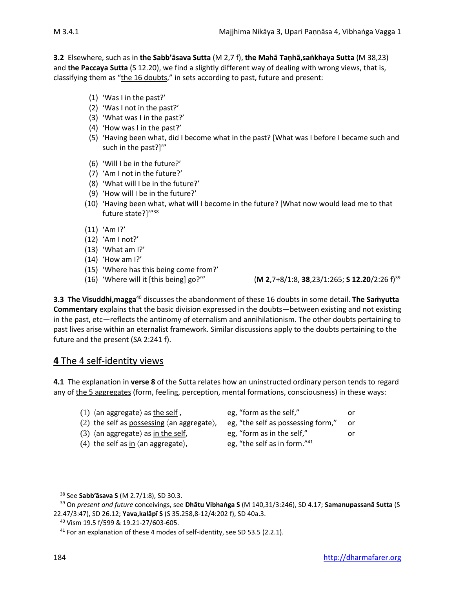**3.2** Elsewhere, such as in **the Sabb'āsava Sutta** (M 2,7 f), **the Mahā Taṇhā,saṅkhaya Sutta** (M 38,23) and **the Paccaya Sutta** (S 12.20), we find a slightly different way of dealing with wrong views, that is, classifying them as "the 16 doubts," in sets according to past, future and present:

- (1) 'Was I in the past?'
- (2) 'Was I not in the past?'
- (3) 'What was I in the past?'
- (4) 'How was I in the past?'
- (5) 'Having been what, did I become what in the past? [What was I before I became such and such in the past?]'"
- (6) 'Will I be in the future?'
- (7) 'Am I not in the future?'
- (8) 'What will I be in the future?'
- (9) 'How will I be in the future?'
- (10) 'Having been what, what will I become in the future? [What now would lead me to that future state?]'" 38
- (11) 'Am I?'
- (12) 'Am I not?'
- (13) 'What am I?'
- (14) 'How am I?'
- (15) 'Where has this being come from?'
- 

(16) 'Where will it [this being] go?'" (**M 2**,7+8/1:8, **38**,23/1:265; **S 12.20**/2:26 f)<sup>39</sup>

**3.3 The Visuddhi,magga**<sup>40</sup> discusses the abandonment of these 16 doubts in some detail. **The Saṁyutta Commentary** explains that the basic division expressed in the doubts—between existing and not existing in the past, etc—reflects the antinomy of eternalism and annihilationism. The other doubts pertaining to past lives arise within an eternalist framework. Similar discussions apply to the doubts pertaining to the future and the present (SA 2:241 f).

# **4** The 4 self-identity views

**4.1** The explanation in **verse 8** of the Sutta relates how an uninstructed ordinary person tends to regard any of the 5 aggregates (form, feeling, perception, mental formations, consciousness) in these ways:

- 
- (2) the self as possessing (an aggregate), eg, "the self as possessing form," or
- 
- (4) the self as in  $\langle$  an aggregate $\rangle$ ,
- (1)  $\langle$  an aggregate $\rangle$  as the self , egg, "form as the self," or (3)  $\langle$  an aggregate $\rangle$  as in the self, eqg, "form as in the self," or
	- eg, "the self as in form."<sup>41</sup>

<sup>38</sup> See **Sabb'āsava S** (M 2.7/1:8), SD 30.3.

<sup>39</sup> On *present and future* conceivings, see **Dhātu Vibhaṅga S** (M 140,31/3:246), SD 4.17; **Samanupassanā Sutta** (S 22.47/3:47), SD 26.12; **Yava,kalāpī S** (S 35.258,8-12/4:202 f), SD 40a.3.

<sup>40</sup> Vism 19.5 f/599 & 19.21-27/603-605.

 $41$  For an explanation of these 4 modes of self-identity, see SD 53.5 (2.2.1).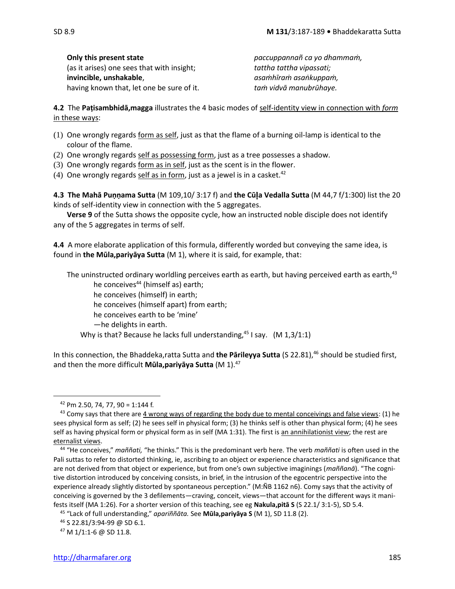| SD 8.9 |  |
|--------|--|
|        |  |

(as it arises) one sees that with insight; *tattha tattha vipassati;*  **invincible, unshakable**, *asaṁhīraṁ asaṅkuppaṁ,*

**Only this present state** *paccuppannañ ca yo dhammaṁ,* having known that, let one be sure of it. *taṁ vidvā manubrūhaye.*

**4.2** The **Paṭisambhidā,magga** illustrates the 4 basic modes of self-identity view in connection with *form* in these ways:

- $(1)$  One wrongly regards form as self, just as that the flame of a burning oil-lamp is identical to the colour of the flame.
- (2) One wrongly regards self as possessing form, just as a tree possesses a shadow.
- (3) One wrongly regards form as in self, just as the scent is in the flower.
- (4) One wrongly regards self as in form, just as a jewel is in a casket.<sup>42</sup>

**4.3 The Mahā Puṇṇama Sutta** (M 109,10/ 3:17 f) and **the Cūa Vedalla Sutta** (M 44,7 f/1:300) list the 20 kinds of self-identity view in connection with the 5 aggregates.

**Verse 9** of the Sutta shows the opposite cycle, how an instructed noble disciple does not identify any of the 5 aggregates in terms of self.

**4.4** A more elaborate application of this formula, differently worded but conveying the same idea, is found in **the Mūla,pariyāya Sutta** (M 1), where it is said, for example, that:

The uninstructed ordinary worldling perceives earth as earth, but having perceived earth as earth,  $43$ 

he conceives<sup>44</sup> (himself as) earth;

he conceives (himself) in earth;

he conceives (himself apart) from earth;

he conceives earth to be 'mine'

—he delights in earth.

Why is that? Because he lacks full understanding, $45$  I say. (M 1,3/1:1)

In this connection, the Bhaddeka,ratta Sutta and **the Pārileyya Sutta** (S 22.81), <sup>46</sup> should be studied first, and then the more difficult **Mūla,pariyāya Sutta** (M 1).<sup>47</sup>

 $42$  Pm 2.50, 74, 77, 90 = 1:144 f.

 $43$  Comy says that there are 4 wrong ways of regarding the body due to mental conceivings and false views: (1) he sees physical form as self; (2) he sees self in physical form; (3) he thinks self is other than physical form; (4) he sees self as having physical form or physical form as in self (MA 1:31). The first is an annihilationist view; the rest are eternalist views.

<sup>44</sup> "He conceives," *maññati,* "he thinks." This is the predominant verb here. The verb *maññati* is often used in the Pali suttas to refer to distorted thinking, ie, ascribing to an object or experience characteristics and significance that are not derived from that object or experience, but from one's own subjective imaginings (*maññanā*). "The cognitive distortion introduced by conceiving consists, in brief, in the intrusion of the egocentric perspective into the experience already slightly distorted by spontaneous perception." (M:ÑB 1162 n6). Comy says that the activity of conceiving is governed by the 3 defilements—craving, conceit, views—that account for the different ways it manifests itself (MA 1:26). For a shorter version of this teaching, see eg **Nakula,pitā S** (S 22.1/ 3:1-5), SD 5.4.

<sup>45</sup> "Lack of full understanding," *apariññāta.* See **Mūla,pariyāya S** (M 1), SD 11.8 (2).

<sup>46</sup> S 22.81/3:94-99 @ SD 6.1.

<sup>47</sup> M 1/1:1-6 @ SD 11.8.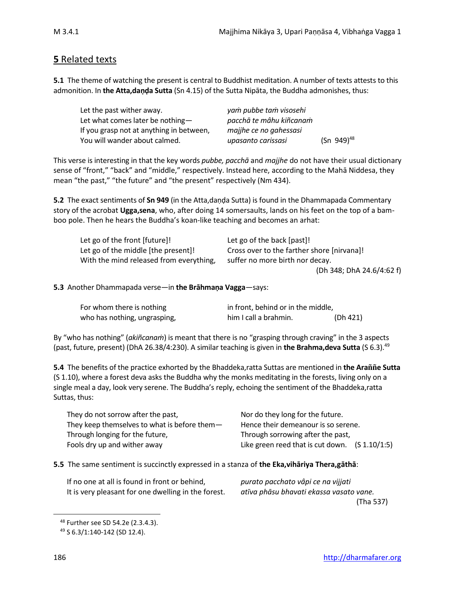### **5** Related texts

**5.1** The theme of watching the present is central to Buddhist meditation. A number of texts attests to this admonition. In **the Atta,danda Sutta** (Sn 4.15) of the Sutta Nipāta, the Buddha admonishes, thus:

| Let the past wither away.                | yam pubbe tam visosehi  |                 |
|------------------------------------------|-------------------------|-----------------|
| Let what comes later be nothing-         | pacchā te mâhu kiñcanam |                 |
| If you grasp not at anything in between, | majihe ce no gahessasi  |                 |
| You will wander about calmed.            | upasanto carissasi      | $(Sn 949)^{48}$ |

This verse is interesting in that the key words *pubbe, pacchā* and *majjhe* do not have their usual dictionary sense of "front," "back" and "middle," respectively. Instead here, according to the Mahā Niddesa, they mean "the past," "the future" and "the present" respectively (Nm 434).

**5.2** The exact sentiments of **Sn 949** (in the Atta,daṇḍa Sutta) is found in the Dhammapada Commentary story of the acrobat **Ugga,sena**, who, after doing 14 somersaults, lands on his feet on the top of a bamboo pole. Then he hears the Buddha's koan-like teaching and becomes an arhat:

| Let go of the front [future]!           | Let go of the back [past]!                 |
|-----------------------------------------|--------------------------------------------|
| Let go of the middle [the present]!     | Cross over to the farther shore [nirvana]! |
| With the mind released from everything, | suffer no more birth nor decay.            |
|                                         | (Dh 348; DhA 24.6/4:62 f)                  |

**5.3** Another Dhammapada verse—in **the Brāhmaṇa Vagga**—says:

| For whom there is nothing    | in front, behind or in the middle, |          |
|------------------------------|------------------------------------|----------|
| who has nothing, ungrasping, | him I call a brahmin.              | (Dh 421) |

By "who has nothing" (*akiñcanaṁ*) is meant that there is no "grasping through craving" in the 3 aspects (past, future, present) (DhA 26.38/4:230). A similar teaching is given in **the Brahma,deva Sutta** (S 6.3).<sup>49</sup>

**5.4** The benefits of the practice exhorted by the Bhaddeka, ratta Suttas are mentioned in the Arañne Sutta (S 1.10), where a forest deva asks the Buddha why the monks meditating in the forests, living only on a single meal a day, look very serene. The Buddha's reply, echoing the sentiment of the Bhaddeka,ratta Suttas, thus:

| They do not sorrow after the past,           | Nor do they long for the future.                 |
|----------------------------------------------|--------------------------------------------------|
| They keep themselves to what is before them- | Hence their demeanour is so serene.              |
| Through longing for the future,              | Through sorrowing after the past,                |
| Fools dry up and wither away                 | Like green reed that is cut down. $(S 1.10/1:5)$ |

### **5.5** The same sentiment is succinctly expressed in a stanza of **the Eka,vihāriya Thera,gāthā**:

If no one at all is found in front or behind, *purato pacchato vâpi ce na vijjati* It is very pleasant for one dwelling in the forest. *atīva phāsu bhavati ekassa vasato vane.*

(Tha 537)

<sup>48</sup> Further see SD 54.2e (2.3.4.3).

<sup>49</sup> S 6.3/1:140-142 (SD 12.4).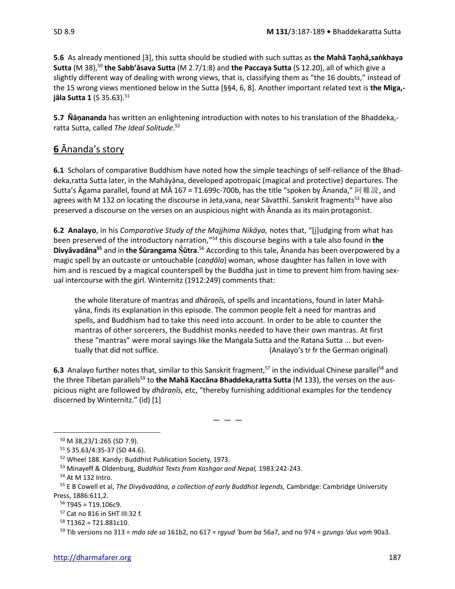**5.6** As already mentioned [3], this sutta should be studied with such suttas as **the Mahā Taṇhā,saṅkhaya Sutta** (M 38), <sup>50</sup> **the Sabb'āsava Sutta** (M 2.7/1:8) and **the Paccaya Sutta** (S 12.20), all of which give a slightly different way of dealing with wrong views, that is, classifying them as "the 16 doubts," instead of the 15 wrong views mentioned below in the Sutta [§§4, 6, 8]. Another important related text is **the Miga, jāla Sutta 1** (S 35.63).<sup>51</sup>

**5.7 Ñāṇananda** has written an enlightening introduction with notes to his translation of the Bhaddeka, ratta Sutta, called *The Ideal Solitude*. 52

# **6** Ānanda's story

**6.1** Scholars of comparative Buddhism have noted how the simple teachings of self-reliance of the Bhaddeka,ratta Sutta later, in the Mahāyāna, developed apotropaic (magical and protective) departures. The Sutta's Āgama parallel, found at MĀ 167 = T1.699c-700b, has the title "spoken by Ānanda," 阿難說, and agrees with M 132 on locating the discourse in Jeta, vana, near Sāvatthī. Sanskrit fragments<sup>53</sup> have also preserved a discourse on the verses on an auspicious night with Ānanda as its main protagonist.

**6.2 Analayo**, in his *Comparative Study of the Majjhima Nikāya,* notes that, "[j]udging from what has been preserved of the introductory narration," <sup>54</sup> this discourse begins with a tale also found in **the Divyāvadāna<sup>55</sup>** and in **the Śūrangama ūtra**. <sup>56</sup> According to this tale, Ānanda has been overpowered by a magic spell by an outcaste or untouchable (*caṇḍāla*) woman, whose daughter has fallen in love with him and is rescued by a magical counterspell by the Buddha just in time to prevent him from having sexual intercourse with the girl. Winternitz (1912:249) comments that:

the whole literature of mantras and *dhāraṇīs,* of spells and incantations, found in later Mahāyāna, finds its explanation in this episode. The common people felt a need for mantras and spells, and Buddhism had to take this need into account. In order to be able to counter the mantras of other sorcerers, the Buddhist monks needed to have their own mantras. At first these "mantras" were moral sayings like the Maṅgala Sutta and the Ratana Sutta ... but eventually that did not suffice. (Analayo's tr fr the German original)

**6.3** Analayo further notes that, similar to this Sanskrit fragment,<sup>57</sup> in the individual Chinese parallel<sup>58</sup> and the three Tibetan parallels<sup>59</sup> to the Mahā Kaccāna Bhaddeka, ratta Sutta (M 133), the verses on the auspicious night are followed by *dhāraṇīs,* etc, "thereby furnishing additional examples for the tendency discerned by Winternitz." (id) [1]

 $-$ 

<sup>50</sup> M 38,23/1:265 (SD 7.9).

<sup>51</sup> S 35.63/4:35-37 (SD 44.6).

<sup>52</sup> Wheel 188. Kandy: Buddhist Publication Society, 1973.

<sup>53</sup> Minayeff & Oldenburg, *Buddhist Texts from Kashgar and Nepal,* 1983:242-243.

<sup>54</sup> At M 132 Intro.

<sup>55</sup> E B Cowell et al, *The Divyāvadāna, a collection of early Buddhist legends,* Cambridge: Cambridge University Press, 1886:611,2.

 $56$  T945 = T19.106c9.

<sup>57</sup> Cat no 816 in SHT III:32 f.

 $58$  T1362 = T21.881c10.

<sup>59</sup> Tib versions no 313 = *mdo sde sa* 161b2, no 617 = *rgyud 'bum ba* 56a7, and no 974 = *gzungs 'dus vaṁ* 90a3.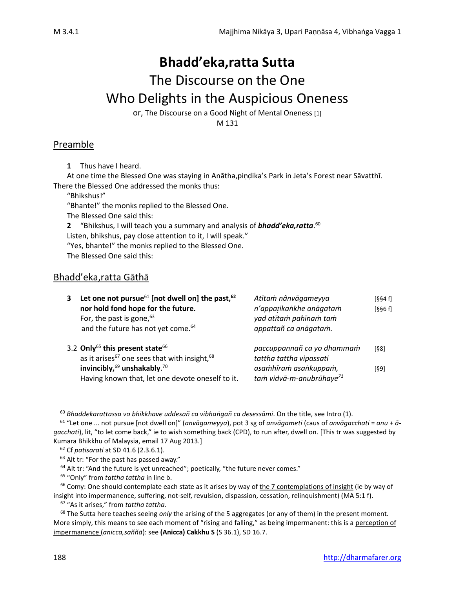# **Bhadd'eka,ratta Sutta**

# The Discourse on the One

# Who Delights in the Auspicious Oneness

or, The Discourse on a Good Night of Mental Oneness [1]

M 131

# Preamble

**1** Thus have I heard.

At one time the Blessed One was staying in Anātha,piṇḍika's Park in Jeta's Forest near Sāvatthī. There the Blessed One addressed the monks thus:

"Bhikshus!"

"Bhante!" the monks replied to the Blessed One.

The Blessed One said this:

**2** "Bhikshus, I will teach you a summary and analysis of *bhadd'eka,ratta*. 60 Listen, bhikshus, pay close attention to it, I will speak."

"Yes, bhante!" the monks replied to the Blessed One.

The Blessed One said this:

# Bhadd'eka,ratta Gāthā

| 3. | Let one not pursue <sup>61</sup> [not dwell on] the past, $62$<br>nor hold fond hope for the future.<br>For, the past is gone, $63$<br>and the future has not yet come. <sup>64</sup> | Atītam nânvāgameyya<br>n'appatikankhe anāgatam<br>yad atītam pahīnam tam<br>appattañ ca anāgatam. | [§§4 f]<br>[§§6f] |
|----|---------------------------------------------------------------------------------------------------------------------------------------------------------------------------------------|---------------------------------------------------------------------------------------------------|-------------------|
|    | 3.2 Only <sup>65</sup> this present state <sup>66</sup><br>as it arises <sup>67</sup> one sees that with insight, 68                                                                  | paccuppannañ ca yo dhammam<br>tattha tattha vipassati                                             | [§8]              |
|    | invincibly, <sup>69</sup> unshakably. <sup>70</sup><br>Having known that, let one devote oneself to it.                                                                               | asamhīram asankuppam,<br>tam vidvā-m-anubrūhaye <sup>71</sup>                                     | [§9]              |

<sup>60</sup> *Bhaddekarattassa vo bhikkhave uddesañ ca vibhaṅgañ ca desessāmi*. On the title, see Intro (1).

<sup>61</sup> "Let one ... not pursue [not dwell on]" (*anvāgameyya*), pot 3 sg of *anvāgameti* (caus of *anvāgacchati* = *anu + āgacchati*), lit, "to let come back," ie to wish something back (CPD), to run after, dwell on. [This tr was suggested by Kumara Bhikkhu of Malaysia, email 17 Aug 2013.]

<sup>62</sup> Cf *patisarati* at SD 41.6 (2.3.6.1).

<sup>&</sup>lt;sup>63</sup> Alt tr: "For the past has passed away."

 $64$  Alt tr: "And the future is yet unreached"; poetically, "the future never comes."

<sup>65</sup> "Only" from *tattha tattha* in line b.

 $66$  Comy: One should contemplate each state as it arises by way of the 7 contemplations of insight (ie by way of insight into impermanence, suffering, not-self, revulsion, dispassion, cessation, relinquishment) (MA 5:1 f).

<sup>67</sup> "As it arises," from *tattha tattha.*

<sup>68</sup> The Sutta here teaches seeing *only* the arising of the 5 aggregates (or any of them) in the present moment. More simply, this means to see each moment of "rising and falling," as being impermanent: this is a perception of impermanence (*anicca,saññā*): see **(Anicca) Cakkhu S** (S 36.1), SD 16.7.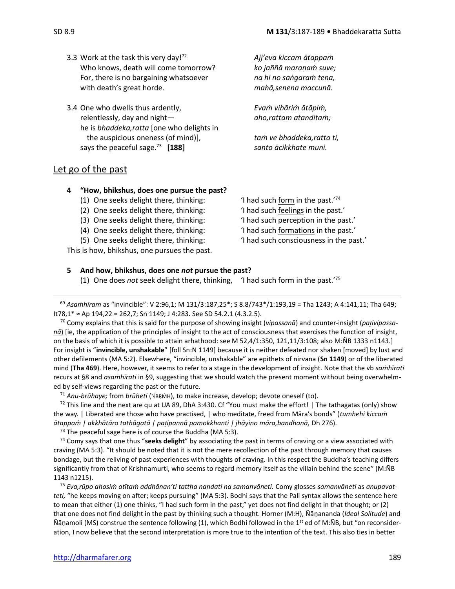- 3.3 Work at the task this very day!<sup>72</sup> Who knows, death will come tomorrow? *ko jaññā maraṇaṁ suve;* For, there is no bargaining whatsoever *na hi no saṅgaraṁ tena,* with death's great horde. *mahā,senena maccunā.*
- 3.4 One who dwells thus ardently, *Evaṁ vihāriṁ ātāpiṁ,* relentlessly, day and night— *aho,rattam atanditaṁ;*  he is *bhaddeka,ratta* [one who delights in the auspicious oneness (of mind)], *taṁ ve bhaddeka,ratto ti,* says the peaceful sage. $^{73}$  [188]

<sup>72</sup> *Ajj'eva kiccam ātappaṁ*

**[188]** *santo ācikkhate muni.*

### Let go of the past

### **4 "How, bhikshus, does one pursue the past?**

- (1) One seeks delight there, thinking:
- (2) One seeks delight there, thinking: 'I had such feelings in the past.'
- (3) One seeks delight there, thinking: 'I had such perception in the past.'
- (4) One seeks delight there, thinking: 'I had such formations in the past.'
- (5) One seeks delight there, thinking: 'I had such consciousness in the past.'

This is how, bhikshus, one pursues the past.

'I had such form in the past. $74$ 

- 
- 
- 
- 

### **5 And how, bhikshus, does one** *not* **pursue the past?**

(1) One does *not* seek delight there, thinking, 'I had such form in the past.' 75

<sup>69</sup> *Asaṁhīram* as "invincible": V 2:96,1; M 131/3:187,25\*; S 8.8/743\*/1:193,19 = Tha 1243; A 4:141,11; Tha 649; It78,1\* ≈ Ap 194,22 = 262,7; Sn 1149; J 4:283. See SD 54.2.1 (4.3.2.5).

<sup>70</sup> Comy explains that this is said for the purpose of showing insight (*vipassanā*) and counter-insight (*paivipassanā*) [ie, the application of the principles of insight to the act of consciousness that exercises the function of insight, on the basis of which it is possible to attain arhathood: see M 52,4/1:350, 121,11/3:108; also M:ÑB 1333 n1143.] For insight is "**invincible, unshakable**" [foll Sn:N 1149] because it is neither defeated nor shaken [moved] by lust and other defilements (MA 5:2). Elsewhere, "invincible, unshakable" are epithets of nirvana (**Sn 1149**) or of the liberated mind (**Tha 469**). Here, however, it seems to refer to a stage in the development of insight. Note that the vb *saṁhīrati* recurs at §8 and *asaṁhīrati* in §9, suggesting that we should watch the present moment without being overwhelmed by self-views regarding the past or the future.

<sup>71</sup> Anu-brūhaye; from brūheti ( $\sqrt{BRMM}$ ), to make increase, develop; devote oneself (to).

 $72$  This line and the next are qu at UA 89, DhA 3:430. Cf "You must make the effort! | The tathagatas (only) show the way. | Liberated are those who have practised, | who meditate, freed from Māra's bonds" (*tumhehi kiccaṁ ātappaṁ | akkhātāro tathāgatā | paipannā pamokkhanti | jhāyino māra,bandhanā,* Dh 276).

 $73$  The peaceful sage here is of course the Buddha (MA 5:3).

<sup>74</sup> Comy says that one thus "**seeks delight**" by associating the past in terms of craving or a view associated with craving (MA 5:3). "It should be noted that it is not the mere recollection of the past through memory that causes bondage, but the reliving of past experiences with thoughts of craving. In this respect the Buddha's teaching differs significantly from that of Krishnamurti, who seems to regard memory itself as the villain behind the scene" (M:ÑB 1143 n1215).

<sup>75</sup> *Eva,rūpo ahosiṁ atītaṁ addhānan'ti tattha nandati na samanvāneti.* Comy glosses *samanvāneti* as *anupavatteti,* "he keeps moving on after; keeps pursuing" (MA 5:3). Bodhi says that the Pali syntax allows the sentence here to mean that either (1) one thinks, "I had such form in the past," yet does not find delight in that thought; or (2) that one does not find delight in the past by thinking such a thought. Horner (M:H), Ñāṇananda (*Ideal Solitude*) and Ñāṇamoli (MS) construe the sentence following (1), which Bodhi followed in the 1<sup>st</sup> ed of M:ÑB, but "on reconsideration, I now believe that the second interpretation is more true to the intention of the text. This also ties in better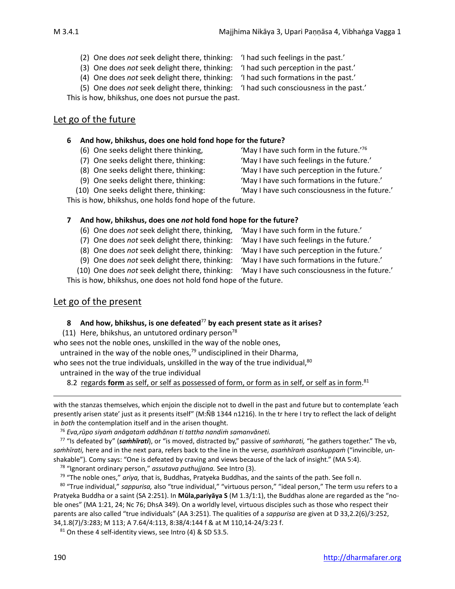- (2) One does *not* seek delight there, thinking: 'I had such feelings in the past.'
- (3) One does *not* seek delight there, thinking: 'I had such perception in the past.'
- (4) One does *not* seek delight there, thinking: 'I had such formations in the past.'

- -
- (5) One does *not* seek delight there, thinking: 'I had such consciousness in the past.'

This is how, bhikshus, one does not pursue the past.

### Let go of the future

### **6 And how, bhikshus, does one hold fond hope for the future?**

- (6) One seeks delight there thinking,
- (7) One seeks delight there, thinking: 'May I have such feelings in the future.'
- 
- 
- 

This is how, bhikshus, one holds fond hope of the future.

### **7 And how, bhikshus, does one** *not* **hold fond hope for the future?**

- (6) One does *not* seek delight there, thinking, 'May I have such form in the future.'
- (7) One does *not* seek delight there, thinking: 'May I have such feelings in the future.'
- (8) One does *not* seek delight there, thinking: 'May I have such perception in the future.'

(9) One does *not* seek delight there, thinking: 'May I have such formations in the future.'

(10) One does *not* seek delight there, thinking: 'May I have such consciousness in the future.'

This is how, bhikshus, one does not hold fond hope of the future.

### Let go of the present

### **8 And how, bhikshus, is one defeated**<sup>77</sup> **by each present state as it arises?**

(11) Here, bhikshus, an untutored ordinary person<sup>78</sup>

who sees not the noble ones, unskilled in the way of the noble ones,

untrained in the way of the noble ones,<sup>79</sup> undisciplined in their Dharma,

who sees not the true individuals, unskilled in the way of the true individual, $80$ 

untrained in the way of the true individual

8.2 regards **form** as self, or self as possessed of form, or form as in self, or self as in form.<sup>81</sup>

with the stanzas themselves, which enjoin the disciple not to dwell in the past and future but to contemplate 'each presently arisen state' just as it presents itself" (M:ÑB 1344 n1216). In the tr here I try to reflect the lack of delight in *both* the contemplation itself and in the arisen thought.

<sup>76</sup> *Eva,rūpo siyaṁ anāgataṁ addhānan ti tattha nandiṁ samanvāneti.*

<sup>77</sup> "Is defeated by" (*saṁhīrati*), or "is moved, distracted by," passive of *saṁharati,* "he gathers together." The vb, *saṁhīrati,* here and in the next para, refers back to the line in the verse, *asaṁhīraṁ asaṅkuppaṁ* ("invincible, unshakable")*.* Comy says: "One is defeated by craving and views because of the lack of insight." (MA 5:4).

<sup>78</sup> "Ignorant ordinary person," *assutava puthujjana.* See Intro (3).

<sup>79</sup> "The noble ones," *ariya,* that is, Buddhas, Pratyeka Buddhas, and the saints of the path. See foll n.

<sup>80</sup> "True individual," *sappurisa,* also "true individual," "virtuous person," "ideal person," The term usu refers to a Pratyeka Buddha or a saint (SA 2:251). In **Mūla,pariyāya S** (M 1.3/1:1), the Buddhas alone are regarded as the "noble ones" (MA 1:21, 24; Nc 76; DhsA 349). On a worldly level, virtuous disciples such as those who respect their parents are also called "true individuals" (AA 3:251). The qualities of a *sappurisa* are given at D 33,2.2(6)/3:252, 34,1.8(7)/3:283; M 113; A 7.64/4:113, 8:38/4:144 f & at M 110,14-24/3:23 f.

 $81$  On these 4 self-identity views, see Intro (4) & SD 53.5.

190 [http://dharmafarer.org](http://dharmafarer.org/)

(8) One seeks delight there, thinking: 'May I have such perception in the future.'

'May I have such form in the future.'76

- (9) One seeks delight there, thinking: 'May I have such formations in the future.'
- (10) One seeks delight there, thinking: 'May I have such consciousness in the future.'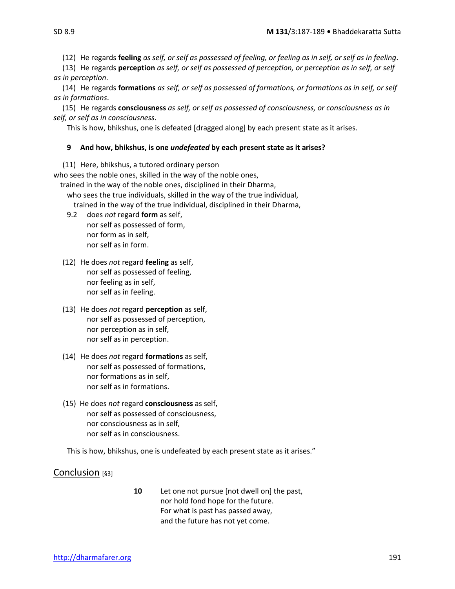(12) He regards **feeling** *as self, or self as possessed of feeling, or feeling as in self, or self as in feeling*.

(13) He regards **perception** *as self, or self as possessed of perception, or perception as in self, or self as in perception*.

(14) He regards **formations** *as self, or self as possessed of formations, or formations as in self, or self as in formations*.

(15) He regards **consciousness** *as self, or self as possessed of consciousness, or consciousness as in self, or self as in consciousness*.

This is how, bhikshus, one is defeated [dragged along] by each present state as it arises.

#### **9 And how, bhikshus, is one** *undefeated* **by each present state as it arises?**

(11) Here, bhikshus, a tutored ordinary person

who sees the noble ones, skilled in the way of the noble ones,

trained in the way of the noble ones, disciplined in their Dharma,

who sees the true individuals, skilled in the way of the true individual, trained in the way of the true individual, disciplined in their Dharma,

9.2 does *not* regard **form** as self,

- nor self as possessed of form, nor form as in self, nor self as in form.
- (12) He does *not* regard **feeling** as self, nor self as possessed of feeling, nor feeling as in self, nor self as in feeling.
- (13) He does *not* regard **perception** as self, nor self as possessed of perception, nor perception as in self, nor self as in perception.
- (14) He does *not* regard **formations** as self, nor self as possessed of formations, nor formations as in self, nor self as in formations.
- (15) He does *not* regard **consciousness** as self, nor self as possessed of consciousness, nor consciousness as in self, nor self as in consciousness.

This is how, bhikshus, one is undefeated by each present state as it arises."

Conclusion [§3]

**10** Let one not pursue [not dwell on] the past, nor hold fond hope for the future. For what is past has passed away, and the future has not yet come.